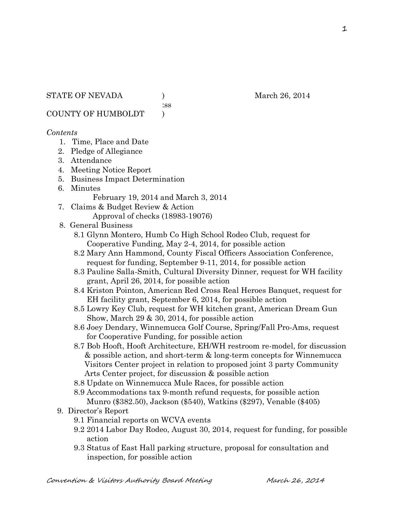:ss

COUNTY OF HUMBOLDT )

## *Contents*

- 1. Time, Place and Date
- 2. Pledge of Allegiance
- 3. Attendance
- 4. Meeting Notice Report
- 5. Business Impact Determination
- 6. Minutes

February 19, 2014 and March 3, 2014

7. Claims & Budget Review & Action Approval of checks (18983-19076)

## 8. General Business

- 8.1 Glynn Montero, Humb Co High School Rodeo Club, request for Cooperative Funding, May 2-4, 2014, for possible action
- 8.2 Mary Ann Hammond, County Fiscal Officers Association Conference, request for funding, September 9-11, 2014, for possible action
- 8.3 Pauline Salla-Smith, Cultural Diversity Dinner, request for WH facility grant, April 26, 2014, for possible action
- 8.4 Kriston Pointon, American Red Cross Real Heroes Banquet, request for EH facility grant, September 6, 2014, for possible action
- 8.5 Lowry Key Club, request for WH kitchen grant, American Dream Gun Show, March 29 & 30, 2014, for possible action
- 8.6 Joey Dendary, Winnemucca Golf Course, Spring/Fall Pro-Ams, request for Cooperative Funding, for possible action
- 8.7 Bob Hooft, Hooft Architecture, EH/WH restroom re-model, for discussion & possible action, and short-term & long-term concepts for Winnemucca Visitors Center project in relation to proposed joint 3 party Community Arts Center project, for discussion & possible action
- 8.8 Update on Winnemucca Mule Races, for possible action
- 8.9 Accommodations tax 9-month refund requests, for possible action Munro (\$382.50), Jackson (\$540), Watkins (\$297), Venable (\$405)
- 9. Director's Report
	- 9.1 Financial reports on WCVA events
	- 9.2 2014 Labor Day Rodeo, August 30, 2014, request for funding, for possible action
	- 9.3 Status of East Hall parking structure, proposal for consultation and inspection, for possible action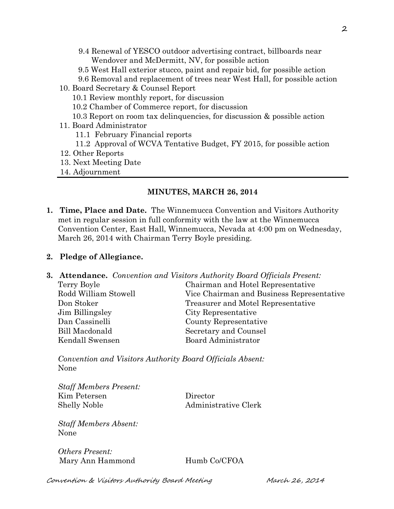- 9.4 Renewal of YESCO outdoor advertising contract, billboards near Wendover and McDermitt, NV, for possible action
- 9.5 West Hall exterior stucco, paint and repair bid, for possible action
- 9.6 Removal and replacement of trees near West Hall, for possible action
- 10. Board Secretary & Counsel Report
	- 10.1 Review monthly report, for discussion
	- 10.2 Chamber of Commerce report, for discussion
	- 10.3 Report on room tax delinquencies, for discussion & possible action
- 11. Board Administrator
	- 11.1 February Financial reports
	- 11.2 Approval of WCVA Tentative Budget, FY 2015, for possible action
- 12. Other Reports
- 13. Next Meeting Date
- 14. Adjournment

# **MINUTES, MARCH 26, 2014**

**1. Time, Place and Date.** The Winnemucca Convention and Visitors Authority met in regular session in full conformity with the law at the Winnemucca Convention Center, East Hall, Winnemucca, Nevada at 4:00 pm on Wednesday, March 26, 2014 with Chairman Terry Boyle presiding.

# **2. Pledge of Allegiance.**

**3. Attendance.** *Convention and Visitors Authority Board Officials Present:* 

| Chairman and Hotel Representative         |
|-------------------------------------------|
| Vice Chairman and Business Representative |
| Treasurer and Motel Representative        |
| City Representative                       |
| County Representative                     |
| Secretary and Counsel                     |
| Board Administrator                       |
|                                           |

*Convention and Visitors Authority Board Officials Absent:*  None

*Staff Members Present:*  Kim Petersen Director Shelly Noble Administrative Clerk

*Staff Members Absent:*  None

*Others Present:*  Mary Ann Hammond Humb Co/CFOA

Convention & Visitors Authority Board Meeting March 26, 2014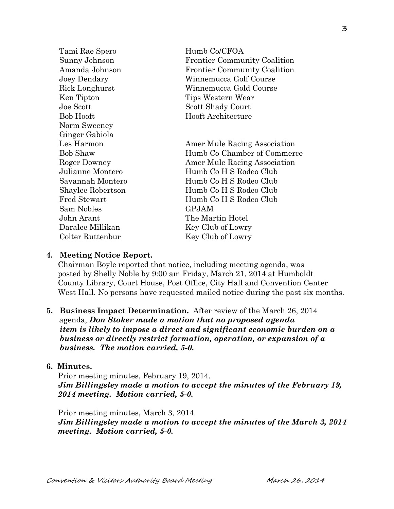Tami Rae Spero Humb Co/CFOA Sunny Johnson Frontier Community Coalition Amanda Johnson Frontier Community Coalition Joey Dendary Winnemucca Golf Course Rick Longhurst Winnemucca Gold Course Ken Tipton Tips Western Wear Joe Scott Shady Court Bob Hooft Hooft Architecture Norm Sweeney Ginger Gabiola Les Harmon Amer Mule Racing Association Bob Shaw Humb Co Chamber of Commerce Roger Downey **Amer Mule Racing Association** Julianne Montero Humb Co H S Rodeo Club Savannah Montero Humb Co H S Rodeo Club Shaylee Robertson Humb Co H S Rodeo Club Fred Stewart Humb Co H S Rodeo Club Sam Nobles GPJAM John Arant The Martin Hotel Daralee Millikan Key Club of Lowry Colter Ruttenbur Key Club of Lowry

#### **4. Meeting Notice Report.**

Chairman Boyle reported that notice, including meeting agenda, was posted by Shelly Noble by 9:00 am Friday, March 21, 2014 at Humboldt County Library, Court House, Post Office, City Hall and Convention Center West Hall. No persons have requested mailed notice during the past six months.

## **5. Business Impact Determination.** After review of the March 26, 2014 agenda, *Don Stoker made a motion that no proposed agenda item is likely to impose a direct and significant economic burden on a business or directly restrict formation, operation, or expansion of a business. The motion carried, 5-0.*

#### **6. Minutes.**

Prior meeting minutes, February 19, 2014. *Jim Billingsley made a motion to accept the minutes of the February 19, 2014 meeting. Motion carried, 5-0.* 

Prior meeting minutes, March 3, 2014. *Jim Billingsley made a motion to accept the minutes of the March 3, 2014 meeting. Motion carried, 5-0.*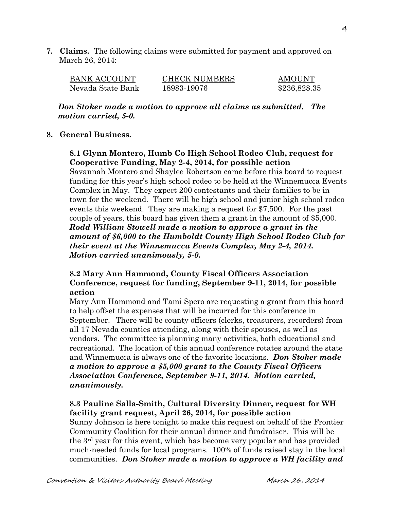**7. Claims.** The following claims were submitted for payment and approved on March 26, 2014:

| <b>BANK ACCOUNT</b> | <b>CHECK NUMBERS</b> | <b>AMOUNT</b> |
|---------------------|----------------------|---------------|
| Nevada State Bank   | 18983-19076          | \$236,828.35  |

*Don Stoker made a motion to approve all claims as submitted. The motion carried, 5-0.* 

#### **8. General Business.**

## **8.1 Glynn Montero, Humb Co High School Rodeo Club, request for Cooperative Funding, May 2-4, 2014, for possible action**

Savannah Montero and Shaylee Robertson came before this board to request funding for this year's high school rodeo to be held at the Winnemucca Events Complex in May. They expect 200 contestants and their families to be in town for the weekend. There will be high school and junior high school rodeo events this weekend. They are making a request for \$7,500. For the past couple of years, this board has given them a grant in the amount of \$5,000. *Rodd William Stowell made a motion to approve a grant in the amount of \$6,000 to the Humboldt County High School Rodeo Club for their event at the Winnemucca Events Complex, May 2-4, 2014. Motion carried unanimously, 5-0.* 

## **8.2 Mary Ann Hammond, County Fiscal Officers Association Conference, request for funding, September 9-11, 2014, for possible action**

Mary Ann Hammond and Tami Spero are requesting a grant from this board to help offset the expenses that will be incurred for this conference in September. There will be county officers (clerks, treasurers, recorders) from all 17 Nevada counties attending, along with their spouses, as well as vendors. The committee is planning many activities, both educational and recreational. The location of this annual conference rotates around the state and Winnemucca is always one of the favorite locations. *Don Stoker made a motion to approve a \$5,000 grant to the County Fiscal Officers Association Conference, September 9-11, 2014. Motion carried, unanimously.* 

## **8.3 Pauline Salla-Smith, Cultural Diversity Dinner, request for WH facility grant request, April 26, 2014, for possible action**

Sunny Johnson is here tonight to make this request on behalf of the Frontier Community Coalition for their annual dinner and fundraiser. This will be the 3rd year for this event, which has become very popular and has provided much-needed funds for local programs. 100% of funds raised stay in the local communities. *Don Stoker made a motion to approve a WH facility and*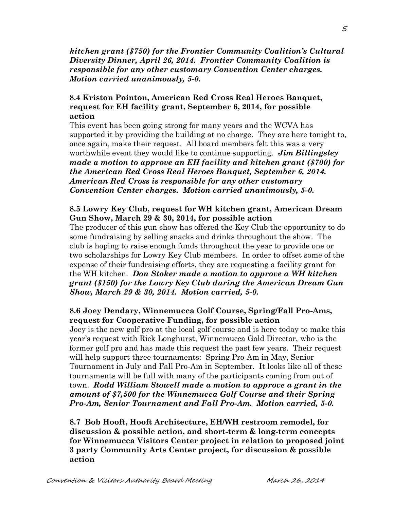*kitchen grant (\$750) for the Frontier Community Coalition's Cultural Diversity Dinner, April 26, 2014. Frontier Community Coalition is responsible for any other customary Convention Center charges. Motion carried unanimously, 5-0.* 

## **8.4 Kriston Pointon, American Red Cross Real Heroes Banquet, request for EH facility grant, September 6, 2014, for possible action**

This event has been going strong for many years and the WCVA has supported it by providing the building at no charge. They are here tonight to, once again, make their request. All board members felt this was a very worthwhile event they would like to continue supporting. *Jim Billingsley made a motion to approve an EH facility and kitchen grant (\$700) for the American Red Cross Real Heroes Banquet, September 6, 2014. American Red Cross is responsible for any other customary Convention Center charges. Motion carried unanimously, 5-0.* 

#### **8.5 Lowry Key Club, request for WH kitchen grant, American Dream Gun Show, March 29 & 30, 2014, for possible action**

The producer of this gun show has offered the Key Club the opportunity to do some fundraising by selling snacks and drinks throughout the show. The club is hoping to raise enough funds throughout the year to provide one or two scholarships for Lowry Key Club members. In order to offset some of the expense of their fundraising efforts, they are requesting a facility grant for the WH kitchen. *Don Stoker made a motion to approve a WH kitchen grant (\$150) for the Lowry Key Club during the American Dream Gun Show, March 29 & 30, 2014. Motion carried, 5-0.* 

## **8.6 Joey Dendary, Winnemucca Golf Course, Spring/Fall Pro-Ams, request for Cooperative Funding, for possible action**

Joey is the new golf pro at the local golf course and is here today to make this year's request with Rick Longhurst, Winnemucca Gold Director, who is the former golf pro and has made this request the past few years. Their request will help support three tournaments: Spring Pro-Am in May, Senior Tournament in July and Fall Pro-Am in September. It looks like all of these tournaments will be full with many of the participants coming from out of town. *Rodd William Stowell made a motion to approve a grant in the amount of \$7,500 for the Winnemucca Golf Course and their Spring Pro-Am, Senior Tournament and Fall Pro-Am. Motion carried, 5-0.* 

**8.7 Bob Hooft, Hooft Architecture, EH/WH restroom remodel, for discussion & possible action, and short-term & long-term concepts for Winnemucca Visitors Center project in relation to proposed joint 3 party Community Arts Center project, for discussion & possible action**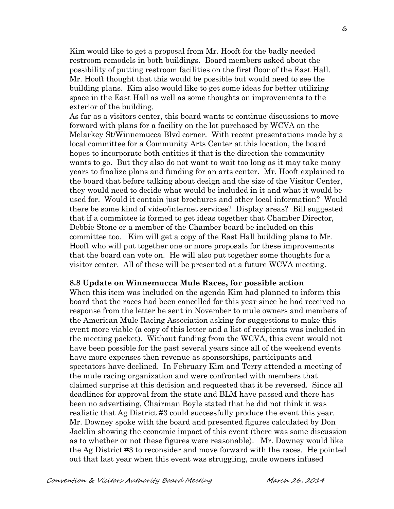Kim would like to get a proposal from Mr. Hooft for the badly needed restroom remodels in both buildings. Board members asked about the possibility of putting restroom facilities on the first floor of the East Hall. Mr. Hooft thought that this would be possible but would need to see the building plans. Kim also would like to get some ideas for better utilizing space in the East Hall as well as some thoughts on improvements to the exterior of the building.

As far as a visitors center, this board wants to continue discussions to move forward with plans for a facility on the lot purchased by WCVA on the Melarkey St/Winnemucca Blvd corner. With recent presentations made by a local committee for a Community Arts Center at this location, the board hopes to incorporate both entities if that is the direction the community wants to go. But they also do not want to wait too long as it may take many years to finalize plans and funding for an arts center. Mr. Hooft explained to the board that before talking about design and the size of the Visitor Center, they would need to decide what would be included in it and what it would be used for. Would it contain just brochures and other local information? Would there be some kind of video/internet services? Display areas? Bill suggested that if a committee is formed to get ideas together that Chamber Director, Debbie Stone or a member of the Chamber board be included on this committee too. Kim will get a copy of the East Hall building plans to Mr. Hooft who will put together one or more proposals for these improvements that the board can vote on. He will also put together some thoughts for a visitor center. All of these will be presented at a future WCVA meeting.

#### **8.8 Update on Winnemucca Mule Races, for possible action**

When this item was included on the agenda Kim had planned to inform this board that the races had been cancelled for this year since he had received no response from the letter he sent in November to mule owners and members of the American Mule Racing Association asking for suggestions to make this event more viable (a copy of this letter and a list of recipients was included in the meeting packet). Without funding from the WCVA, this event would not have been possible for the past several years since all of the weekend events have more expenses then revenue as sponsorships, participants and spectators have declined. In February Kim and Terry attended a meeting of the mule racing organization and were confronted with members that claimed surprise at this decision and requested that it be reversed. Since all deadlines for approval from the state and BLM have passed and there has been no advertising, Chairman Boyle stated that he did not think it was realistic that Ag District #3 could successfully produce the event this year. Mr. Downey spoke with the board and presented figures calculated by Don Jacklin showing the economic impact of this event (there was some discussion as to whether or not these figures were reasonable). Mr. Downey would like the Ag District #3 to reconsider and move forward with the races. He pointed out that last year when this event was struggling, mule owners infused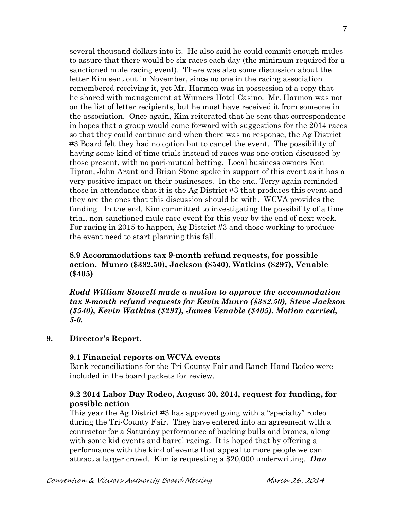several thousand dollars into it. He also said he could commit enough mules to assure that there would be six races each day (the minimum required for a sanctioned mule racing event). There was also some discussion about the letter Kim sent out in November, since no one in the racing association remembered receiving it, yet Mr. Harmon was in possession of a copy that he shared with management at Winners Hotel Casino. Mr. Harmon was not on the list of letter recipients, but he must have received it from someone in the association. Once again, Kim reiterated that he sent that correspondence in hopes that a group would come forward with suggestions for the 2014 races so that they could continue and when there was no response, the Ag District #3 Board felt they had no option but to cancel the event. The possibility of having some kind of time trials instead of races was one option discussed by those present, with no pari-mutual betting. Local business owners Ken Tipton, John Arant and Brian Stone spoke in support of this event as it has a very positive impact on their businesses. In the end, Terry again reminded those in attendance that it is the Ag District #3 that produces this event and they are the ones that this discussion should be with. WCVA provides the funding. In the end, Kim committed to investigating the possibility of a time trial, non-sanctioned mule race event for this year by the end of next week. For racing in 2015 to happen, Ag District #3 and those working to produce the event need to start planning this fall.

## **8.9 Accommodations tax 9-month refund requests, for possible action, Munro (\$382.50), Jackson (\$540), Watkins (\$297), Venable (\$405)**

*Rodd William Stowell made a motion to approve the accommodation tax 9-month refund requests for Kevin Munro (\$382.50), Steve Jackson (\$540), Kevin Watkins (\$297), James Venable (\$405). Motion carried, 5-0.*

## **9. Director's Report.**

## **9.1 Financial reports on WCVA events**

Bank reconciliations for the Tri-County Fair and Ranch Hand Rodeo were included in the board packets for review.

# **9.2 2014 Labor Day Rodeo, August 30, 2014, request for funding, for possible action**

This year the Ag District #3 has approved going with a "specialty" rodeo during the Tri-County Fair. They have entered into an agreement with a contractor for a Saturday performance of bucking bulls and broncs, along with some kid events and barrel racing. It is hoped that by offering a performance with the kind of events that appeal to more people we can attract a larger crowd. Kim is requesting a \$20,000 underwriting. *Dan*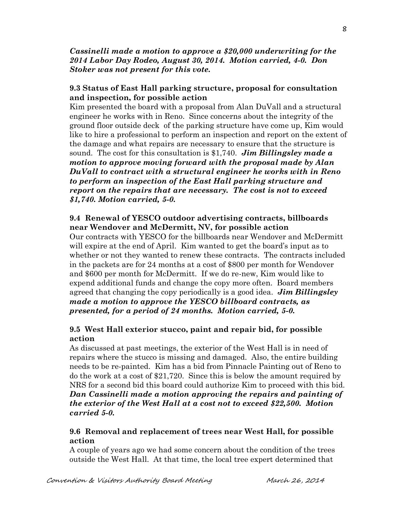*Cassinelli made a motion to approve a \$20,000 underwriting for the 2014 Labor Day Rodeo, August 30, 2014. Motion carried, 4-0. Don Stoker was not present for this vote.*

## **9.3 Status of East Hall parking structure, proposal for consultation and inspection, for possible action**

 Kim presented the board with a proposal from Alan DuVall and a structural engineer he works with in Reno. Since concerns about the integrity of the ground floor outside deck of the parking structure have come up, Kim would like to hire a professional to perform an inspection and report on the extent of the damage and what repairs are necessary to ensure that the structure is sound. The cost for this consultation is \$1,740. *Jim Billingsley made a motion to approve moving forward with the proposal made by Alan DuVall to contract with a structural engineer he works with in Reno to perform an inspection of the East Hall parking structure and report on the repairs that are necessary. The cost is not to exceed \$1,740. Motion carried, 5-0.* 

# **9.4 Renewal of YESCO outdoor advertising contracts, billboards near Wendover and McDermitt, NV, for possible action**

Our contracts with YESCO for the billboards near Wendover and McDermitt will expire at the end of April. Kim wanted to get the board's input as to whether or not they wanted to renew these contracts. The contracts included in the packets are for 24 months at a cost of \$800 per month for Wendover and \$600 per month for McDermitt. If we do re-new, Kim would like to expend additional funds and change the copy more often. Board members agreed that changing the copy periodically is a good idea. *Jim Billingsley made a motion to approve the YESCO billboard contracts, as presented, for a period of 24 months. Motion carried, 5-0.*

# **9.5 West Hall exterior stucco, paint and repair bid, for possible action**

As discussed at past meetings, the exterior of the West Hall is in need of repairs where the stucco is missing and damaged. Also, the entire building needs to be re-painted. Kim has a bid from Pinnacle Painting out of Reno to do the work at a cost of \$21,720. Since this is below the amount required by NRS for a second bid this board could authorize Kim to proceed with this bid. *Dan Cassinelli made a motion approving the repairs and painting of the exterior of the West Hall at a cost not to exceed \$22,500. Motion carried 5-0.*

# **9.6 Removal and replacement of trees near West Hall, for possible action**

A couple of years ago we had some concern about the condition of the trees outside the West Hall. At that time, the local tree expert determined that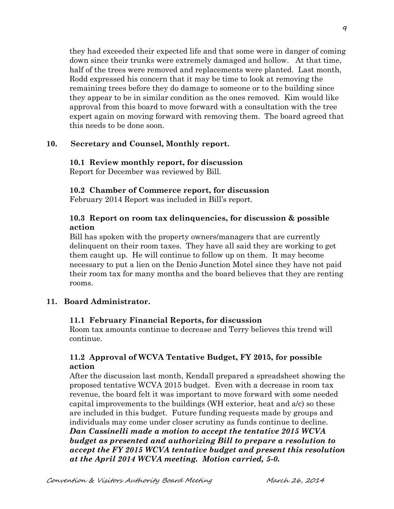they had exceeded their expected life and that some were in danger of coming down since their trunks were extremely damaged and hollow. At that time, half of the trees were removed and replacements were planted. Last month, Rodd expressed his concern that it may be time to look at removing the remaining trees before they do damage to someone or to the building since they appear to be in similar condition as the ones removed. Kim would like approval from this board to move forward with a consultation with the tree expert again on moving forward with removing them. The board agreed that this needs to be done soon.

#### **10. Secretary and Counsel, Monthly report.**

#### **10.1 Review monthly report, for discussion**  Report for December was reviewed by Bill.

#### **10.2 Chamber of Commerce report, for discussion**

February 2014 Report was included in Bill's report.

#### **10.3 Report on room tax delinquencies, for discussion & possible action**

Bill has spoken with the property owners/managers that are currently delinquent on their room taxes. They have all said they are working to get them caught up. He will continue to follow up on them. It may become necessary to put a lien on the Denio Junction Motel since they have not paid their room tax for many months and the board believes that they are renting rooms.

#### **11. Board Administrator.**

#### **11.1 February Financial Reports, for discussion**

Room tax amounts continue to decrease and Terry believes this trend will continue.

## **11.2 Approval of WCVA Tentative Budget, FY 2015, for possible action**

After the discussion last month, Kendall prepared a spreadsheet showing the proposed tentative WCVA 2015 budget. Even with a decrease in room tax revenue, the board felt it was important to move forward with some needed capital improvements to the buildings (WH exterior, heat and a/c) so these are included in this budget. Future funding requests made by groups and individuals may come under closer scrutiny as funds continue to decline. *Dan Cassinelli made a motion to accept the tentative 2015 WCVA budget as presented and authorizing Bill to prepare a resolution to accept the FY 2015 WCVA tentative budget and present this resolution at the April 2014 WCVA meeting. Motion carried, 5-0.*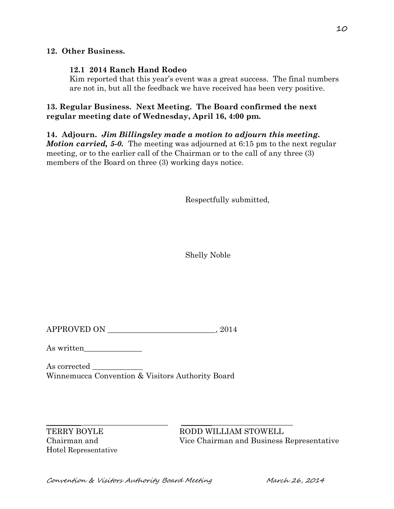## **12. Other Business.**

## **12.1 2014 Ranch Hand Rodeo**

Kim reported that this year's event was a great success. The final numbers are not in, but all the feedback we have received has been very positive.

# **13. Regular Business. Next Meeting. The Board confirmed the next regular meeting date of Wednesday, April 16, 4:00 pm.**

# **14. Adjourn.** *Jim Billingsley made a motion to adjourn this meeting.*

*Motion carried, 5-0.* The meeting was adjourned at 6:15 pm to the next regular meeting, or to the earlier call of the Chairman or to the call of any three (3) members of the Board on three (3) working days notice.

Respectfully submitted,

Shelly Noble

 $APPROVED ON$ ,  $2014$ 

As written\_\_\_\_\_\_\_\_\_\_\_\_\_\_\_

As corrected  $\rule{1em}{0.15mm}$ Winnemucca Convention & Visitors Authority Board

Hotel Representative

 $\_$  , and the set of the set of the set of the set of the set of the set of the set of the set of the set of the set of the set of the set of the set of the set of the set of the set of the set of the set of the set of th TERRY BOYLE RODD WILLIAM STOWELL Chairman and Vice Chairman and Business Representative